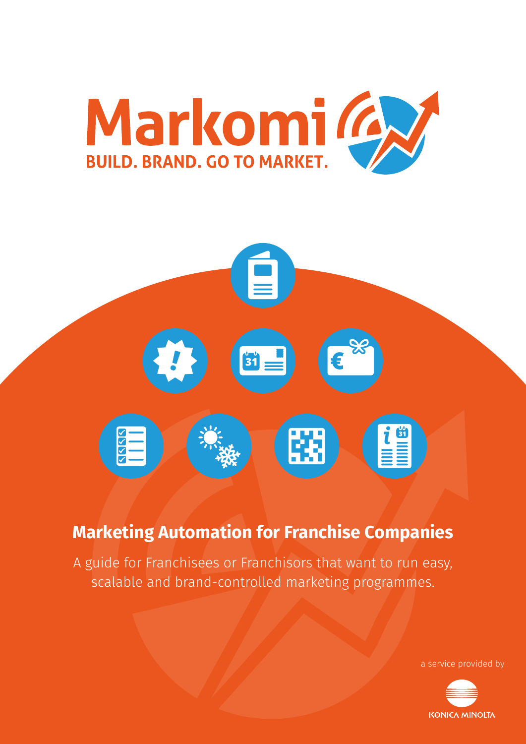



## **Marketing Automation for Franchise Companies**

A guide for Franchisees or Franchisors that want to run easy, scalable and brand-controlled marketing programmes.

a service provided by

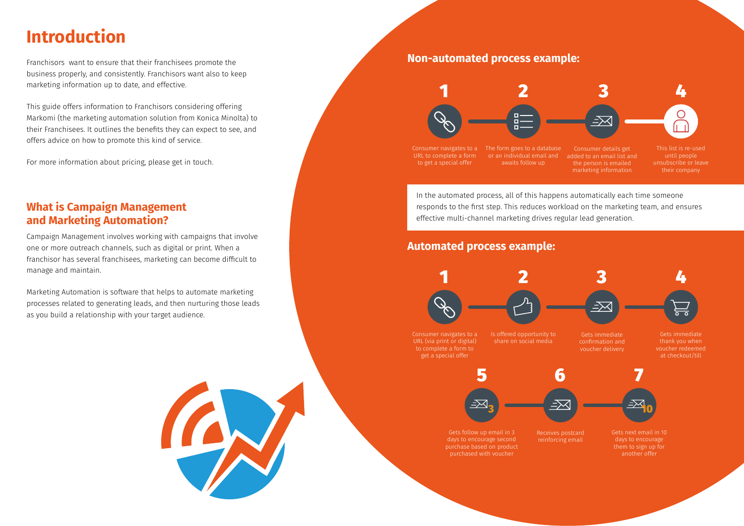In the automated process, all of this happens automatically each time someone responds to the first step. This reduces workload on the marketing team, and ensures effective multi-channel marketing drives regular lead generation.

Consumer navigates to a URL (via print or digital) to complete a form to get a special offer





Franchisors want to ensure that their franchisees promote the business properly, and consistently. Franchisors want also to keep marketing information up to date, and effective.

This guide offers information to Franchisors considering offering Markomi (the marketing automation solution from Konica Minolta) to their Franchisees. It outlines the benefits they can expect to see, and offers advice on how to promote this kind of service.

For more information about pricing, please get in touch.

## **What is Campaign Management and Marketing Automation?**

Campaign Management involves working with campaigns that involve one or more outreach channels, such as digital or print. When a franchisor has several franchisees, marketing can become difficult to manage and maintain.

Marketing Automation is software that helps to automate marketing processes related to generating leads, and then nurturing those leads as you build a relationship with your target audience.

## **Non-automated process example:**



## **Automated process example:**

# **Introduction**

Consumer navigates to a URL to complete a form to get a special offer

The form goes to a database or an individual email and awaits follow up

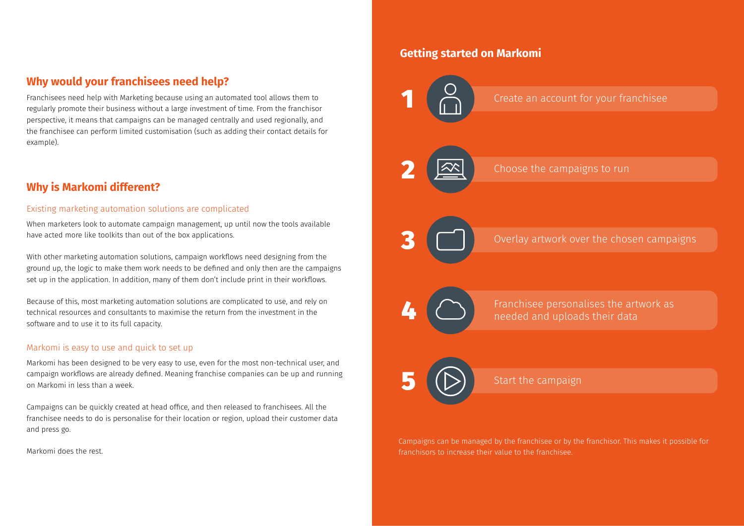## **Why would your franchisees need help?**

Franchisees need help with Marketing because using an automated tool allows them to regularly promote their business without a large investment of time. From the franchisor perspective, it means that campaigns can be managed centrally and used regionally, and the franchisee can perform limited customisation (such as adding their contact details for example).

## **Why is Markomi different?**

### Existing marketing automation solutions are complicated

When marketers look to automate campaign management, up until now the tools available have acted more like toolkits than out of the box applications.

With other marketing automation solutions, campaign workflows need designing from the ground up, the logic to make them work needs to be defined and only then are the campaigns set up in the application. In addition, many of them don't include print in their workflows.

Because of this, most marketing automation solutions are complicated to use, and rely on technical resources and consultants to maximise the return from the investment in the software and to use it to its full capacity.

### Markomi is easy to use and quick to set up

Markomi has been designed to be very easy to use, even for the most non-technical user, and campaign workflows are already defined. Meaning franchise companies can be up and running on Markomi in less than a week.

Campaigns can be quickly created at head office, and then released to franchisees. All the franchisee needs to do is personalise for their location or region, upload their customer data and press go.

Markomi does the rest.



Campaigns can be managed by the franchisee or by the franchisor. This makes it possible for franchisors to increase their value to the franchisee.

## Create an account for your franchisee

Overlay artwork over the chosen campaigns

Franchisee personalises the artwork as needed and uploads their data

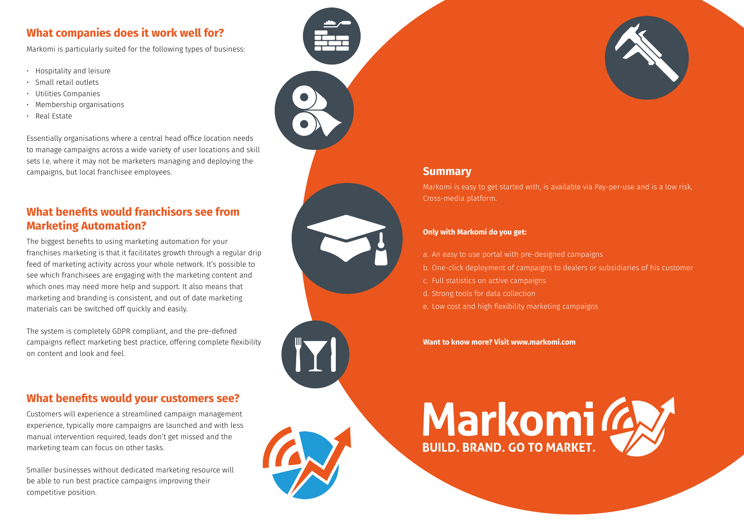## **What companies does it work well for?**

Markomi is particularly suited for the following types of business:

- Hospitality and leisure
- Small retail outlets
- Utilities Companies
- Membership organisations
- Real Estate

Essentially organisations where a central head office location needs to manage campaigns across a wide variety of user locations and skill sets I.e. where it may not be marketers managing and deploying the campaigns, but local franchisee employees.

## **What benefits would franchisors see from Marketing Automation?**

The biggest benefits to using marketing automation for your franchises marketing is that it facilitates growth through a regular drip feed of marketing activity across your whole network. It's possible to see which franchisees are engaging with the marketing content and which ones may need more help and support. It also means that marketing and branding is consistent, and out of date marketing materials can be switched off quickly and easily.

The system is completely GDPR compliant, and the pre-defined campaigns reflect marketing best practice, offering complete flexibility on content and look and feel.

## **What benefits would your customers see?**

Customers will experience a streamlined campaign management experience, typically more campaigns are launched and with less manual intervention required, leads don't get missed and the marketing team can focus on other tasks.

Smaller businesses without dedicated marketing resource will be able to run best practice campaigns improving their competitive position.



## **Summary**

Markomi is easy to get started with, is available via Pay-per-use and is a low risk, Cross-media platform.

#### **Only with Markomi do you get:**

- a. An easy to use portal with pre-designed campaigns
- b. One-click deployment of campaigns to dealers or subsidiaries of his customer
- c. Full statistics on active campaigns
- d. Strong tools for data collection
- e. Low cost and high flexibility marketing campaigns

**Want to know more? Visit www.markomi.com**